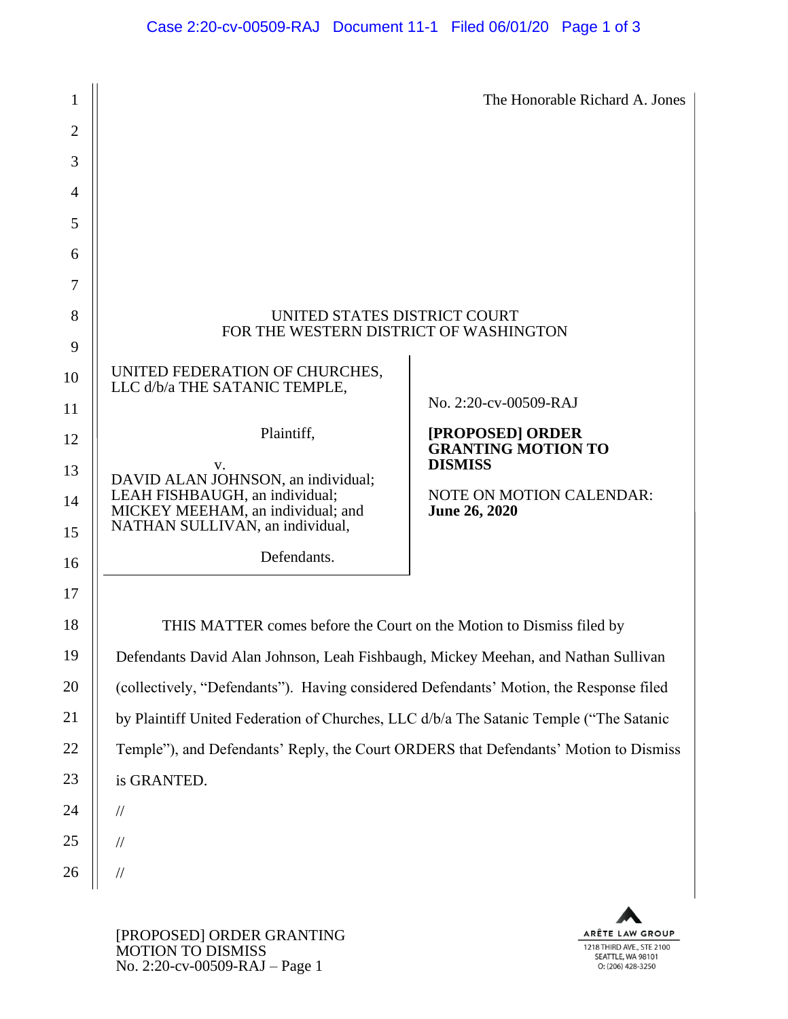| 1              |                                                                                                        | The Honorable Richard A. Jones                          |
|----------------|--------------------------------------------------------------------------------------------------------|---------------------------------------------------------|
| $\overline{2}$ |                                                                                                        |                                                         |
| 3              |                                                                                                        |                                                         |
| 4              |                                                                                                        |                                                         |
| 5              |                                                                                                        |                                                         |
| 6              |                                                                                                        |                                                         |
| 7              |                                                                                                        |                                                         |
| 8              | UNITED STATES DISTRICT COURT<br>FOR THE WESTERN DISTRICT OF WASHINGTON                                 |                                                         |
| 9<br>10        | UNITED FEDERATION OF CHURCHES,<br>LLC d/b/a THE SATANIC TEMPLE,                                        |                                                         |
| 11             |                                                                                                        | No. 2:20-cv-00509-RAJ                                   |
| 12             | Plaintiff,                                                                                             | [PROPOSED] ORDER<br><b>GRANTING MOTION TO</b>           |
| 13             | V.<br>DAVID ALAN JOHNSON, an individual;                                                               | <b>DISMISS</b>                                          |
| 14<br>15       | LEAH FISHBAUGH, an individual;<br>MICKEY MEEHAM, an individual; and<br>NATHAN SULLIVAN, an individual, | <b>NOTE ON MOTION CALENDAR:</b><br><b>June 26, 2020</b> |
| 16             | Defendants.                                                                                            |                                                         |
| 17             |                                                                                                        |                                                         |
| 18             | THIS MATTER comes before the Court on the Motion to Dismiss filed by                                   |                                                         |
| 19             | Defendants David Alan Johnson, Leah Fishbaugh, Mickey Meehan, and Nathan Sullivan                      |                                                         |
| 20             | (collectively, "Defendants"). Having considered Defendants' Motion, the Response filed                 |                                                         |
| 21             | by Plaintiff United Federation of Churches, LLC d/b/a The Satanic Temple ("The Satanic                 |                                                         |
| 22             | Temple"), and Defendants' Reply, the Court ORDERS that Defendants' Motion to Dismiss                   |                                                         |
| 23             | is GRANTED.                                                                                            |                                                         |
| 24             | $\frac{1}{2}$                                                                                          |                                                         |
| 25             | $\frac{1}{2}$                                                                                          |                                                         |
| 26             | $\frac{1}{2}$                                                                                          |                                                         |
|                |                                                                                                        |                                                         |

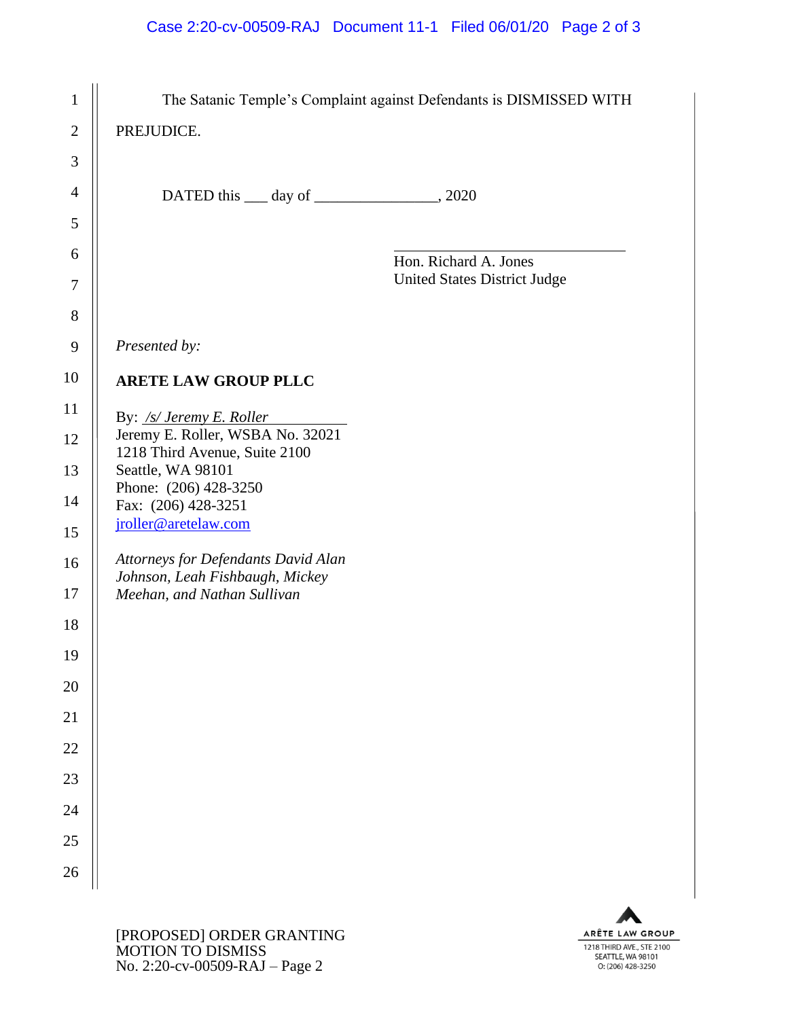## Case 2:20-cv-00509-RAJ Document 11-1 Filed 06/01/20 Page 2 of 3

| $\mathbf{1}$    |                                                                                                                                                                    | The Satanic Temple's Complaint against Defendants is DISMISSED WITH |
|-----------------|--------------------------------------------------------------------------------------------------------------------------------------------------------------------|---------------------------------------------------------------------|
| $\overline{2}$  | PREJUDICE.                                                                                                                                                         |                                                                     |
| 3               |                                                                                                                                                                    |                                                                     |
| $\overline{4}$  | DATED this <u>quality day of 2020</u> , 2020                                                                                                                       |                                                                     |
| 5               |                                                                                                                                                                    |                                                                     |
| 6               |                                                                                                                                                                    | Hon. Richard A. Jones                                               |
| 7               |                                                                                                                                                                    | <b>United States District Judge</b>                                 |
| 8               |                                                                                                                                                                    |                                                                     |
| $\mathbf{9}$    | Presented by:                                                                                                                                                      |                                                                     |
| 10              | <b>ARETE LAW GROUP PLLC</b>                                                                                                                                        |                                                                     |
| 11              | By: /s/ Jeremy E. Roller<br>Jeremy E. Roller, WSBA No. 32021<br>1218 Third Avenue, Suite 2100<br>Seattle, WA 98101<br>Phone: (206) 428-3250<br>Fax: (206) 428-3251 |                                                                     |
| 12              |                                                                                                                                                                    |                                                                     |
| 13              |                                                                                                                                                                    |                                                                     |
| 14              |                                                                                                                                                                    |                                                                     |
| 15              | jroller@aretelaw.com                                                                                                                                               |                                                                     |
| 16              | Attorneys for Defendants David Alan<br>Johnson, Leah Fishbaugh, Mickey                                                                                             |                                                                     |
| 17              | Meehan, and Nathan Sullivan                                                                                                                                        |                                                                     |
| 18              |                                                                                                                                                                    |                                                                     |
| 19              |                                                                                                                                                                    |                                                                     |
| <b>20</b>       |                                                                                                                                                                    |                                                                     |
| $\overline{21}$ |                                                                                                                                                                    |                                                                     |
| 22              |                                                                                                                                                                    |                                                                     |
| 23              |                                                                                                                                                                    |                                                                     |
| 24              |                                                                                                                                                                    |                                                                     |
| 25              |                                                                                                                                                                    |                                                                     |
| 26              |                                                                                                                                                                    |                                                                     |
|                 |                                                                                                                                                                    |                                                                     |

ARÊTE LAW GROUP 1218 THIRD AVE., STE 2100<br>SEATTLE, WA 98101<br>O: (206) 428-3250